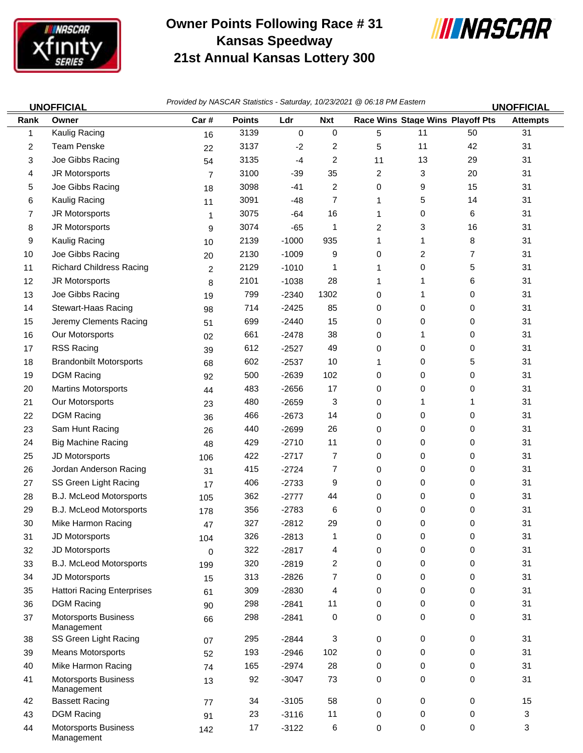

Management

## **Owner Points Following Race # 31 Kansas Speedway 21st Annual Kansas Lottery 300**



| <b>UNOFFICIAL</b> |                                           | Provided by NASCAR Statistics - Saturday, 10/23/2021 @ 06:18 PM Eastern |               |             |            |             |                                  | <b>UNOFFICIAL</b> |                 |
|-------------------|-------------------------------------------|-------------------------------------------------------------------------|---------------|-------------|------------|-------------|----------------------------------|-------------------|-----------------|
| Rank              | Owner                                     | Car#                                                                    | <b>Points</b> | Ldr         | <b>Nxt</b> |             | Race Wins Stage Wins Playoff Pts |                   | <b>Attempts</b> |
| 1                 | Kaulig Racing                             | 16                                                                      | 3139          | $\mathbf 0$ | 0          | 5           | 11                               | 50                | 31              |
| 2                 | <b>Team Penske</b>                        | 22                                                                      | 3137          | $-2$        | 2          | 5           | 11                               | 42                | 31              |
| 3                 | Joe Gibbs Racing                          | 54                                                                      | 3135          | $-4$        | 2          | 11          | 13                               | 29                | 31              |
| 4                 | JR Motorsports                            | $\overline{7}$                                                          | 3100          | $-39$       | 35         | 2           | 3                                | 20                | 31              |
| 5                 | Joe Gibbs Racing                          | 18                                                                      | 3098          | $-41$       | 2          | 0           | 9                                | 15                | 31              |
| 6                 | Kaulig Racing                             | 11                                                                      | 3091          | $-48$       | 7          | 1           | 5                                | 14                | 31              |
| $\overline{7}$    | JR Motorsports                            | 1                                                                       | 3075          | $-64$       | 16         | 1           | 0                                | 6                 | 31              |
| 8                 | JR Motorsports                            | 9                                                                       | 3074          | $-65$       | 1          | 2           | 3                                | 16                | 31              |
| 9                 | Kaulig Racing                             | 10                                                                      | 2139          | $-1000$     | 935        | 1           | 1                                | 8                 | 31              |
| 10                | Joe Gibbs Racing                          | 20                                                                      | 2130          | $-1009$     | 9          | 0           | 2                                | 7                 | 31              |
| 11                | <b>Richard Childress Racing</b>           | $\overline{c}$                                                          | 2129          | $-1010$     | 1          | 1           | 0                                | 5                 | 31              |
| 12                | JR Motorsports                            | 8                                                                       | 2101          | $-1038$     | 28         | 1           | 1                                | 6                 | 31              |
| 13                | Joe Gibbs Racing                          | 19                                                                      | 799           | $-2340$     | 1302       | 0           | 1                                | 0                 | 31              |
| 14                | Stewart-Haas Racing                       | 98                                                                      | 714           | $-2425$     | 85         | 0           | 0                                | 0                 | 31              |
| 15                | Jeremy Clements Racing                    | 51                                                                      | 699           | $-2440$     | 15         | 0           | 0                                | 0                 | 31              |
| 16                | Our Motorsports                           | 02                                                                      | 661           | $-2478$     | 38         | 0           | 1                                | 0                 | 31              |
| 17                | <b>RSS Racing</b>                         | 39                                                                      | 612           | $-2527$     | 49         | 0           | 0                                | 0                 | 31              |
| 18                | <b>Brandonbilt Motorsports</b>            | 68                                                                      | 602           | $-2537$     | 10         | 1           | 0                                | 5                 | 31              |
| 19                | <b>DGM Racing</b>                         | 92                                                                      | 500           | $-2639$     | 102        | 0           | 0                                | 0                 | 31              |
| 20                | <b>Martins Motorsports</b>                | 44                                                                      | 483           | $-2656$     | 17         | 0           | 0                                | 0                 | 31              |
| 21                | Our Motorsports                           | 23                                                                      | 480           | $-2659$     | 3          | 0           | 1                                | 1                 | 31              |
| 22                | <b>DGM Racing</b>                         | 36                                                                      | 466           | $-2673$     | 14         | 0           | 0                                | 0                 | 31              |
| 23                | Sam Hunt Racing                           | 26                                                                      | 440           | $-2699$     | 26         | 0           | 0                                | 0                 | 31              |
| 24                | <b>Big Machine Racing</b>                 | 48                                                                      | 429           | $-2710$     | 11         | 0           | 0                                | 0                 | 31              |
| 25                | JD Motorsports                            | 106                                                                     | 422           | $-2717$     | 7          | 0           | 0                                | 0                 | 31              |
| 26                | Jordan Anderson Racing                    | 31                                                                      | 415           | $-2724$     | 7          | 0           | 0                                | 0                 | 31              |
| 27                | SS Green Light Racing                     | 17                                                                      | 406           | $-2733$     | 9          | 0           | 0                                | 0                 | 31              |
| 28                | B.J. McLeod Motorsports                   | 105                                                                     | 362           | $-2777$     | 44         | 0           | 0                                | 0                 | 31              |
| 29                | <b>B.J. McLeod Motorsports</b>            | 178                                                                     | 356           | $-2783$     | 6          | $\mathbf 0$ | 0                                | 0                 | 31              |
| 30                | Mike Harmon Racing                        | 47                                                                      | 327           | $-2812$     | 29         | 0           | 0                                | 0                 | 31              |
| 31                | JD Motorsports                            | 104                                                                     | 326           | $-2813$     | 1          | 0           | 0                                | 0                 | 31              |
| 32                | JD Motorsports                            | 0                                                                       | 322           | $-2817$     | 4          | 0           | 0                                | 0                 | 31              |
| 33                | B.J. McLeod Motorsports                   | 199                                                                     | 320           | $-2819$     | 2          | 0           | 0                                | 0                 | 31              |
| 34                | JD Motorsports                            | 15                                                                      | 313           | $-2826$     | 7          | $\mathbf 0$ | 0                                | 0                 | 31              |
| 35                | <b>Hattori Racing Enterprises</b>         | 61                                                                      | 309           | $-2830$     | 4          | 0           | 0                                | 0                 | 31              |
| 36                | <b>DGM Racing</b>                         | 90                                                                      | 298           | $-2841$     | 11         | 0           | 0                                | $\mathbf 0$       | 31              |
| 37                | <b>Motorsports Business</b><br>Management | 66                                                                      | 298           | $-2841$     | 0          | 0           | 0                                | 0                 | 31              |
| 38                | SS Green Light Racing                     | 07                                                                      | 295           | $-2844$     | 3          | $\mathbf 0$ | 0                                | 0                 | 31              |
| 39                | <b>Means Motorsports</b>                  | 52                                                                      | 193           | $-2946$     | 102        | 0           | 0                                | $\mathbf 0$       | 31              |
| 40                | Mike Harmon Racing                        | 74                                                                      | 165           | $-2974$     | 28         | 0           | 0                                | 0                 | 31              |
| 41                | <b>Motorsports Business</b><br>Management | 13                                                                      | 92            | $-3047$     | 73         | 0           | 0                                | 0                 | 31              |
| 42                | <b>Bassett Racing</b>                     | 77                                                                      | 34            | $-3105$     | 58         | $\mathbf 0$ | 0                                | 0                 | 15              |
| 43                | <b>DGM Racing</b>                         | 91                                                                      | 23            | $-3116$     | 11         | 0           | 0                                | $\mathbf 0$       | 3               |
| 44                | <b>Motorsports Business</b>               | 142                                                                     | 17            | $-3122$     | 6          | 0           | 0                                | $\mathbf 0$       | 3               |